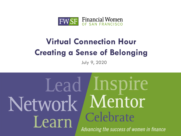

# **Virtual Connection Hour Creating a Sense of Belonging**

July 9, 2020

## Lead *Inspire* Mentor Network Celebrate Learn Advancing the success of women in finance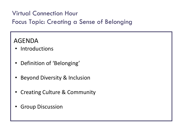#### Virtual Connection Hour Focus Topic: Creating a Sense of Belonging

#### AGENDA

- Introductions
- Definition of 'Belonging'
- Beyond Diversity & Inclusion
- Creating Culture & Community
- **Group Discussion**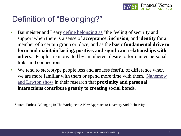

## Definition of "Belonging?"

- Baumeister and Leary [define belonging as](http://persweb.wabash.edu/facstaff/hortonr/articles%20for%20class/baumeister%20and%20leary.pdf) "the feeling of security and support when there is a sense of **acceptance**, **inclusion**, and **identity** for a member of a certain group or place, and as the **basic fundamental drive to form and maintain lasting, positive, and significant relationships with others**." People are motivated by an inherent desire to form inter-personal links and connections.
- We tend to stereotype people less and are less fearful of difference when [we are more familiar with them or spend more time with them.](https://www.researchgate.net/publication/232594605_Similarity_and_propinquity_in_friendship_formation) Nahemow and Lawton show in their research that **proximity and personal interactions contribute greatly to creating social bonds**.

Source: Forbes, Belonging In The Workplace: A New Approach to Diversity And Inclusivity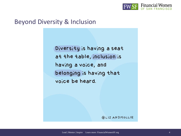

#### Beyond Diversity & Inclusion

Diversity is having a seat at the table, inclusion is having a voice, and belonging is having that voice be heard.

**QLIZANDMOLLIE**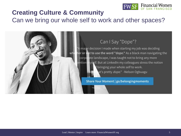

### **Creating Culture & Community** Can we bring our whole self to work and other spaces?